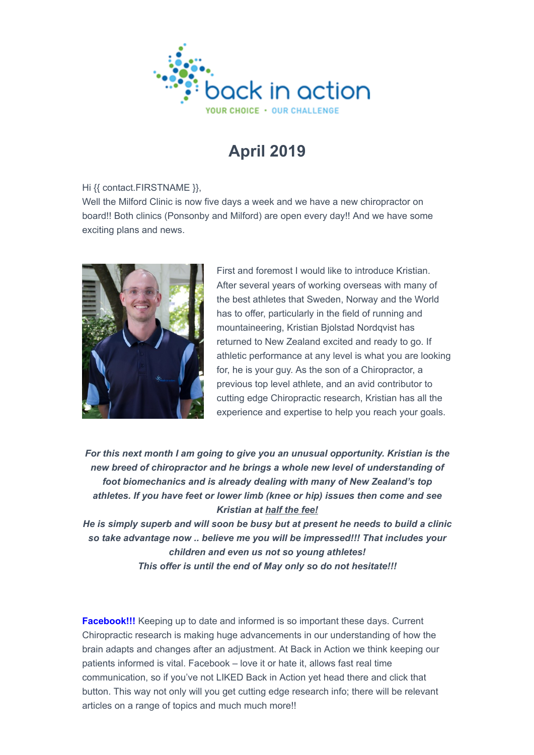

## **April 2019**

## Hi {{ contact.FIRSTNAME }},

Well the Milford Clinic is now five days a week and we have a new chiropractor on board!! Both clinics (Ponsonby and Milford) are open every day!! And we have some exciting plans and news.



First and foremost I would like to introduce Kristian. After several years of working overseas with many of the best athletes that Sweden, Norway and the World has to offer, particularly in the field of running and mountaineering, Kristian Bjolstad Nordqvist has returned to New Zealand excited and ready to go. If athletic performance at any level is what you are looking for, he is your guy. As the son of a Chiropractor, a previous top level athlete, and an avid contributor to cutting edge Chiropractic research, Kristian has all the experience and expertise to help you reach your goals.

*For this next month I am going to give you an unusual opportunity. Kristian is the new breed of chiropractor and he brings a whole new level of understanding of foot biomechanics and is already dealing with many of New Zealand's top athletes. If you have feet or lower limb (knee or hip) issues then come and see Kristian at half the fee!*

*He is simply superb and will soon be busy but at present he needs to build a clinic so take advantage now .. believe me you will be impressed!!! That includes your children and even us not so young athletes! This offer is until the end of May only so do not hesitate!!!*

**Facebook!!!** Keeping up to date and informed is so important these days. Current Chiropractic research is making huge advancements in our understanding of how the brain adapts and changes after an adjustment. At Back in Action we think keeping our patients informed is vital. Facebook – love it or hate it, allows fast real time communication, so if you've not LIKED Back in Action yet head there and click that button. This way not only will you get cutting edge research info; there will be relevant articles on a range of topics and much much more!!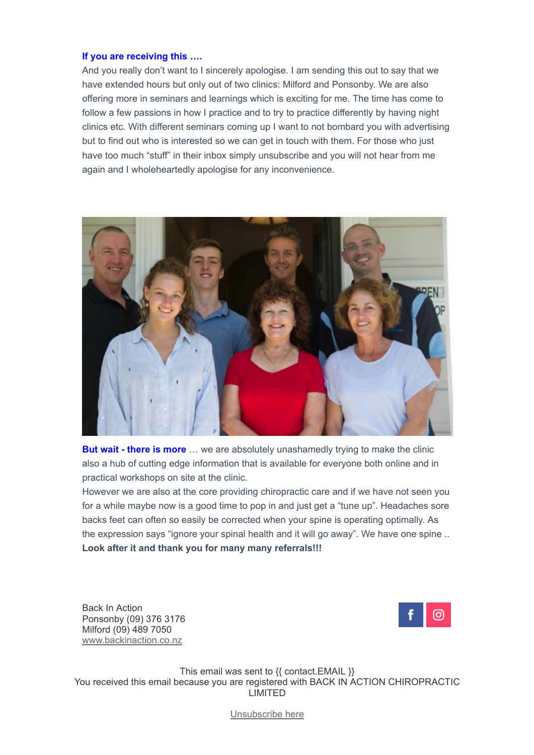## **If you are receiving this ….**

And you really don't want to I sincerely apologise. I am sending this out to say that we have extended hours but only out of two clinics: Milford and Ponsonby. We are also offering more in seminars and learnings which is exciting for me. The time has come to follow a few passions in how I practice and to try to practice differently by having night clinics etc. With different seminars coming up I want to not bombard you with advertising but to find out who is interested so we can get in touch with them. For those who just have too much "stuff" in their inbox simply unsubscribe and you will not hear from me again and I wholeheartedly apologise for any inconvenience.



**But wait - there is more** ... we are absolutely unashamedly trying to make the clinic also a hub of cutting edge information that is available for everyone both online and in practical workshops on site at the clinic.

However we are also at the core providing chiropractic care and if we have not seen you for a while maybe now is a good time to pop in and just get a "tune up". Headaches sore backs feet can often so easily be corrected when your spine is operating optimally. As the expression says "ignore your spinal health and it will go away". We have one spine .. **Look after it and thank you for many many referrals!!!**

Back In Action Ponsonby (09) 376 3176 Milford (09) 489 7050 www.backinaction.co.nz



This email was sent to {{ contact.EMAIL }} You received this email because you are registered with BACK IN ACTION CHIROPRACTIC LIMITED

[Unsubscribe here](https://my.sendinblue.com/camp/showpreview/id/%7B%7B%20unsubscribe%20%7D%7D)